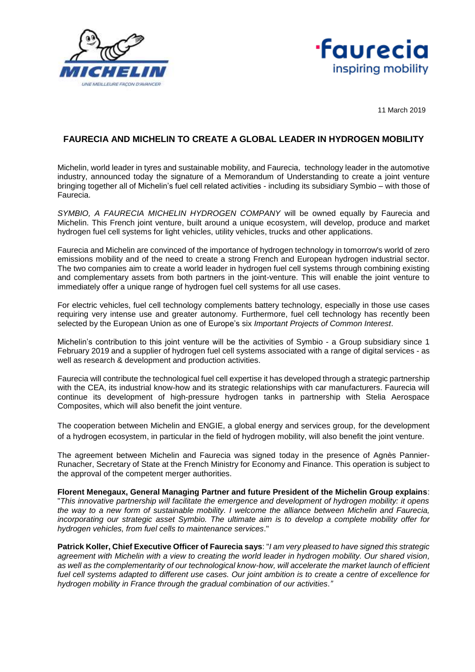



11 March 2019

## **FAURECIA AND MICHELIN TO CREATE A GLOBAL LEADER IN HYDROGEN MOBILITY**

Michelin, world leader in tyres and sustainable mobility, and Faurecia, technology leader in the automotive industry, announced today the signature of a Memorandum of Understanding to create a joint venture bringing together all of Michelin's fuel cell related activities - including its subsidiary Symbio – with those of Faurecia.

*SYMBIO, A FAURECIA MICHELIN HYDROGEN COMPANY* will be owned equally by Faurecia and Michelin. This French joint venture, built around a unique ecosystem, will develop, produce and market hydrogen fuel cell systems for light vehicles, utility vehicles, trucks and other applications.

Faurecia and Michelin are convinced of the importance of hydrogen technology in tomorrow's world of zero emissions mobility and of the need to create a strong French and European hydrogen industrial sector. The two companies aim to create a world leader in hydrogen fuel cell systems through combining existing and complementary assets from both partners in the joint-venture. This will enable the joint venture to immediately offer a unique range of hydrogen fuel cell systems for all use cases.

For electric vehicles, fuel cell technology complements battery technology, especially in those use cases requiring very intense use and greater autonomy. Furthermore, fuel cell technology has recently been selected by the European Union as one of Europe's six *Important Projects of Common Interest*.

Michelin's contribution to this joint venture will be the activities of Symbio - a Group subsidiary since 1 February 2019 and a supplier of hydrogen fuel cell systems associated with a range of digital services - as well as research & development and production activities.

Faurecia will contribute the technological fuel cell expertise it has developed through a strategic partnership with the CEA, its industrial know-how and its strategic relationships with car manufacturers. Faurecia will continue its development of high-pressure hydrogen tanks in partnership with Stelia Aerospace Composites, which will also benefit the joint venture.

The cooperation between Michelin and ENGIE, a global energy and services group, for the development of a hydrogen ecosystem, in particular in the field of hydrogen mobility, will also benefit the joint venture.

The agreement between Michelin and Faurecia was signed today in the presence of Agnès Pannier-Runacher, Secretary of State at the French Ministry for Economy and Finance. This operation is subject to the approval of the competent merger authorities.

**Florent Menegaux, General Managing Partner and future President of the Michelin Group explains**: "*This innovative partnership will facilitate the emergence and development of hydrogen mobility: it opens the way to a new form of sustainable mobility. I welcome the alliance between Michelin and Faurecia, incorporating our strategic asset Symbio. The ultimate aim is to develop a complete mobility offer for hydrogen vehicles, from fuel cells to maintenance services*."

**Patrick Koller, Chief Executive Officer of Faurecia says**: "*I am very pleased to have signed this strategic agreement with Michelin with a view to creating the world leader in hydrogen mobility. Our shared vision, as well as the complementarity of our technological know-how, will accelerate the market launch of efficient fuel cell systems adapted to different use cases. Our joint ambition is to create a centre of excellence for hydrogen mobility in France through the gradual combination of our activities*.*"*